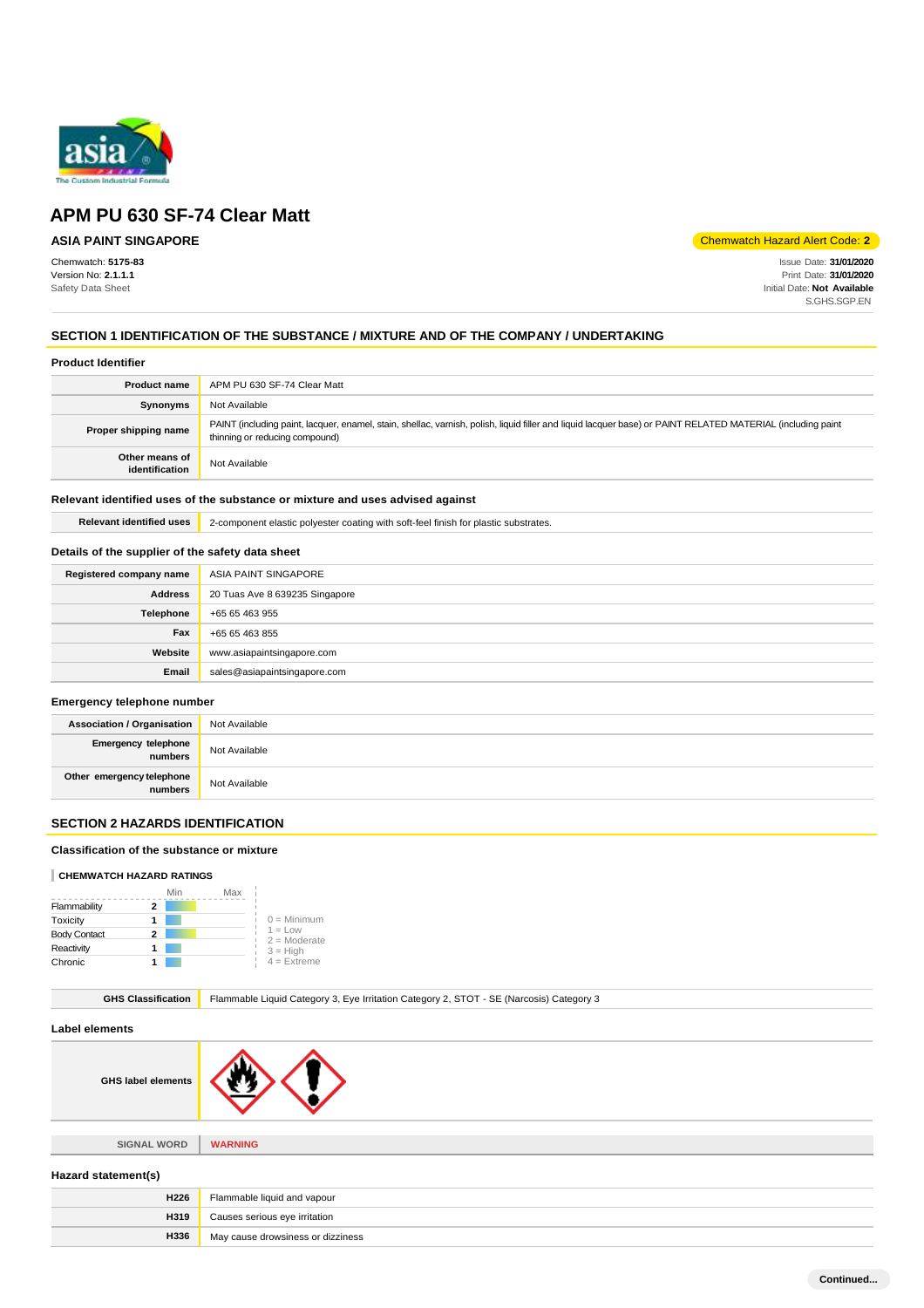

## **ASIA PAINT SINGAPORE**

Chemwatch: **5175-83** Version No: **2.1.1.1** Safety Data Sheet

Chemwatch Hazard Alert Code: **2**

Issue Date: **31/01/2020** Print Date: **31/01/2020** Initial Date: **Not Available** S.GHS.SGP.EN

## **SECTION 1 IDENTIFICATION OF THE SUBSTANCE / MIXTURE AND OF THE COMPANY / UNDERTAKING**

### **Product Identifier**

| <b>Product name</b>              | APM PU 630 SF-74 Clear Matt                                                                                                                                                                   |
|----------------------------------|-----------------------------------------------------------------------------------------------------------------------------------------------------------------------------------------------|
| Synonyms                         | Not Available                                                                                                                                                                                 |
| Proper shipping name             | PAINT (including paint, lacquer, enamel, stain, shellac, varnish, polish, liquid filler and liquid lacquer base) or PAINT RELATED MATERIAL (including paint<br>thinning or reducing compound) |
| Other means of<br>identification | Not Available                                                                                                                                                                                 |

## **Relevant identified uses of the substance or mixture and uses advised against**

**Relevant identified uses** 2-component elastic polyester coating with soft-feel finish for plastic substrates.

## **Details of the supplier of the safety data sheet**

| Registered company name | ASIA PAINT SINGAPORE           |
|-------------------------|--------------------------------|
| <b>Address</b>          | 20 Tuas Ave 8 639235 Singapore |
| Telephone               | +65 65 463 955                 |
| Fax                     | +65 65 463 855                 |
| Website                 | www.asiapaintsingapore.com     |
| Email                   | sales@asiapaintsingapore.com   |

### **Emergency telephone number**

| <b>Association / Organisation</b>            | Not Available |
|----------------------------------------------|---------------|
| <b>Emergency telephone</b><br><b>numbers</b> | Not Available |
| Other emergency telephone<br>numbers         | Not Available |

## **SECTION 2 HAZARDS IDENTIFICATION**

## **Classification of the substance or mixture**

## **CHEMWATCH HAZARD RATINGS**

|                     | Min | Max |                             |
|---------------------|-----|-----|-----------------------------|
| Flammability        |     |     |                             |
| Toxicity            |     |     | $0 =$ Minimum               |
| <b>Body Contact</b> |     |     | $1 = Low$<br>$2 =$ Moderate |
| Reactivity          |     |     | $3 = High$                  |
| Chronic             |     |     | $4$ = Extreme               |

| <b>GHS Classification</b> |
|---------------------------|
|---------------------------|

Flammable Liquid Category 3, Eye Irritation Category 2, STOT - SE (Narcosis) Category 3

## **Label elements**

| <b>GHS label elements</b> |  |
|---------------------------|--|
|                           |  |

**SIGNAL WORD WARNING**

#### **Hazard statement(s)**

| H <sub>226</sub> | Flammable liquid and vapour       |
|------------------|-----------------------------------|
| <b>H319</b>      | Causes serious eye irritation     |
| <b>H336</b>      | May cause drowsiness or dizziness |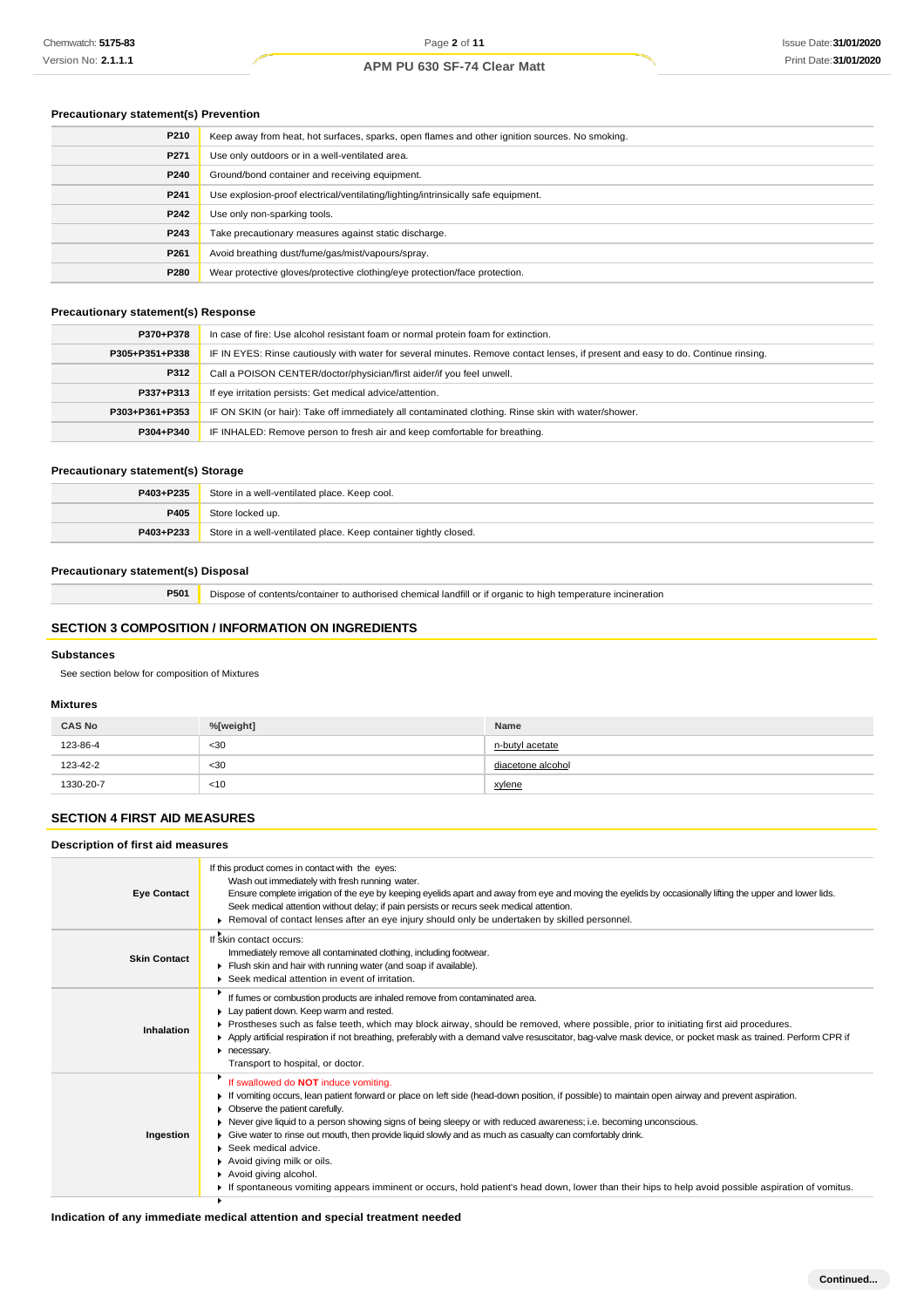## **Precautionary statement(s) Prevention**

| P210 | Keep away from heat, hot surfaces, sparks, open flames and other ignition sources. No smoking. |
|------|------------------------------------------------------------------------------------------------|
| P271 | Use only outdoors or in a well-ventilated area.                                                |
| P240 | Ground/bond container and receiving equipment.                                                 |
| P241 | Use explosion-proof electrical/ventilating/lighting/intrinsically safe equipment.              |
| P242 | Use only non-sparking tools.                                                                   |
| P243 | Take precautionary measures against static discharge.                                          |
| P261 | Avoid breathing dust/fume/gas/mist/vapours/spray.                                              |
| P280 | Wear protective gloves/protective clothing/eye protection/face protection.                     |

## **Precautionary statement(s) Response**

| P370+P378      | In case of fire: Use alcohol resistant foam or normal protein foam for extinction.                                               |
|----------------|----------------------------------------------------------------------------------------------------------------------------------|
| P305+P351+P338 | IF IN EYES: Rinse cautiously with water for several minutes. Remove contact lenses, if present and easy to do. Continue rinsing. |
| P312           | Call a POISON CENTER/doctor/physician/first aider/if you feel unwell.                                                            |
| P337+P313      | If eye irritation persists: Get medical advice/attention.                                                                        |
| P303+P361+P353 | IF ON SKIN (or hair): Take off immediately all contaminated clothing. Rinse skin with water/shower.                              |
| P304+P340      | IF INHALED: Remove person to fresh air and keep comfortable for breathing.                                                       |

## **Precautionary statement(s) Storage**

| P403+P235 | Store in a well-ventilated place. Keep cool.                     |
|-----------|------------------------------------------------------------------|
| P405      | Store locked up.                                                 |
| P403+P233 | Store in a well-ventilated place. Keep container tightly closed. |

## **Precautionary statement(s) Disposal**

**P501** Dispose of contents/container to authorised chemical landfill or if organic to high temperature incineration

## **SECTION 3 COMPOSITION / INFORMATION ON INGREDIENTS**

## **Substances**

See section below for composition of Mixtures

## **Mixtures**

| <b>CAS No</b> | %[weight]      | <b>Name</b>       |
|---------------|----------------|-------------------|
| 123-86-4      | $30$           | n-butyl acetate   |
| 123-42-2      | $30$<br>$\sim$ | diacetone alcohol |
| 1330-20-7     | $<$ 10         | <u>xylene</u>     |

## **SECTION 4 FIRST AID MEASURES**

## **Description of first aid measures**

| <b>Eye Contact</b>  | If this product comes in contact with the eyes:<br>Wash out immediately with fresh running water.<br>Ensure complete irrigation of the eye by keeping eyelids apart and away from eye and moving the eyelids by occasionally lifting the upper and lower lids.<br>Seek medical attention without delay; if pain persists or recurs seek medical attention.<br>▶ Removal of contact lenses after an eye injury should only be undertaken by skilled personnel.                                                                                                                                                                                                                                                                    |
|---------------------|----------------------------------------------------------------------------------------------------------------------------------------------------------------------------------------------------------------------------------------------------------------------------------------------------------------------------------------------------------------------------------------------------------------------------------------------------------------------------------------------------------------------------------------------------------------------------------------------------------------------------------------------------------------------------------------------------------------------------------|
| <b>Skin Contact</b> | If skin contact occurs:<br>Immediately remove all contaminated clothing, including footwear.<br>Flush skin and hair with running water (and soap if available).<br>▶ Seek medical attention in event of irritation.                                                                                                                                                                                                                                                                                                                                                                                                                                                                                                              |
| Inhalation          | If fumes or combustion products are inhaled remove from contaminated area.<br>Lay patient down. Keep warm and rested.<br>▶ Prostheses such as false teeth, which may block airway, should be removed, where possible, prior to initiating first aid procedures.<br>Apply artificial respiration if not breathing, preferably with a demand valve resuscitator, bag-valve mask device, or pocket mask as trained. Perform CPR if<br>necessary.<br>Transport to hospital, or doctor.                                                                                                                                                                                                                                               |
| Ingestion           | If swallowed do <b>NOT</b> induce vomiting.<br>If vomiting occurs, lean patient forward or place on left side (head-down position, if possible) to maintain open airway and prevent aspiration.<br>• Observe the patient carefully.<br>▶ Never give liquid to a person showing signs of being sleepy or with reduced awareness; i.e. becoming unconscious.<br>Give water to rinse out mouth, then provide liquid slowly and as much as casualty can comfortably drink.<br>$\blacktriangleright$ Seek medical advice.<br>Avoid giving milk or oils.<br>Avoid giving alcohol.<br>If spontaneous vomiting appears imminent or occurs, hold patient's head down, lower than their hips to help avoid possible aspiration of vomitus. |

## **Indication of any immediate medical attention and special treatment needed**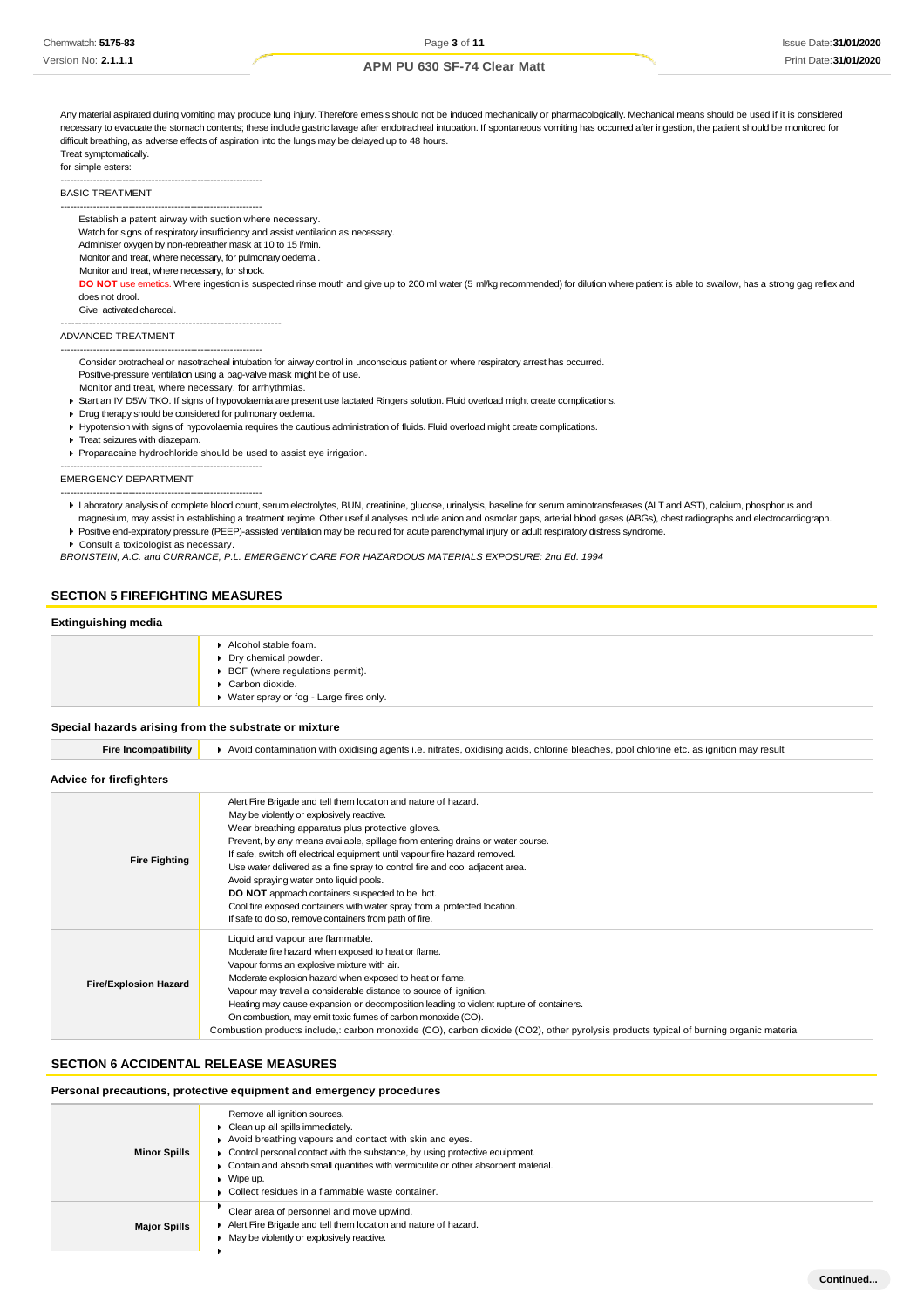Any material aspirated during vomiting may produce lung injury. Therefore emesis should not be induced mechanically or pharmacologically. Mechanical means should be used if it is considered necessary to evacuate the stomach contents; these include gastric lavage after endotracheal intubation. If spontaneous vomiting has occurred after ingestion, the patient should be monitored for difficult breathing, as adverse effects of aspiration into the lungs may be delayed up to 48 hours.

### Treat symptomatically.

for simple esters:

-------------------------------------------------------------- BASIC TREATMENT

-------------------------------------------------------------- Establish a patent airway with suction where necessary.

Watch for signs of respiratory insufficiency and assist ventilation as necessary.

Administer oxygen by non-rebreather mask at 10 to 15 l/min.

Monitor and treat, where necessary, for pulmonary oedema .

Monitor and treat, where necessary, for shock.

DO NOT use emetics. Where ingestion is suspected rinse mouth and give up to 200 ml water (5 ml/kg recommended) for dilution where patient is able to swallow, has a strong gag reflex and does not drool.

Give activated charcoal.

--------------------------------------------------------------

#### ADVANCED TREATMENT

-------------------------------------------------------------- Consider orotracheal or nasotracheal intubation for airway control in unconscious patient or where respiratory arrest has occurred.

- Positive-pressure ventilation using a bag-valve mask might be of use.
- Monitor and treat, where necessary, for arrhythmias.
- Start an IV D5W TKO. If signs of hypovolaemia are present use lactated Ringers solution. Fluid overload might create complications.
- Drug therapy should be considered for pulmonary oedema.
- Hypotension with signs of hypovolaemia requires the cautious administration of fluids. Fluid overload might create complications.
- Treat seizures with diazepam.

Proparacaine hydrochloride should be used to assist eye irrigation.

--------------------------------------------------------------

#### EMERGENCY DEPARTMENT --------------------------------------------------------------

- Laboratory analysis of complete blood count, serum electrolytes, BUN, creatinine, glucose, urinalysis, baseline for serum aminotransferases (ALT and AST), calcium, phosphorus and magnesium, may assist in establishing a treatment regime. Other useful analyses include anion and osmolar gaps, arterial blood gases (ABGs), chest radiographs and electrocardiograph.
- Positive end-expiratory pressure (PEEP)-assisted ventilation may be required for acute parenchymal injury or adult respiratory distress syndrome. Consult a toxicologist as necessary.

*BRONSTEIN, A.C. and CURRANCE, P.L. EMERGENCY CARE FOR HAZARDOUS MATERIALS EXPOSURE: 2nd Ed. 1994*

### **SECTION 5 FIREFIGHTING MEASURES**

### **Extinguishing media**

| Alcohol stable foam.<br>Dry chemical powder.<br>▶ BCF (where regulations permit).<br>Carbon dioxide.<br>▶ Water spray or fog - Large fires only. |
|--------------------------------------------------------------------------------------------------------------------------------------------------|
|                                                                                                                                                  |

### **Special hazards arising from the substrate or mixture**

| Incompatibility<br>.-ıre | ▶ Avoid contamination with oxidising agents i.e. nitrates, oxidising acids, chlorine bleaches, pool chlorine etc. as ignition may result |
|--------------------------|------------------------------------------------------------------------------------------------------------------------------------------|
|                          |                                                                                                                                          |

### **Advice for firefighters**

| <b>Fire Fighting</b>         | Alert Fire Brigade and tell them location and nature of hazard.<br>May be violently or explosively reactive.<br>Wear breathing apparatus plus protective gloves.<br>Prevent, by any means available, spillage from entering drains or water course.<br>If safe, switch off electrical equipment until vapour fire hazard removed.<br>Use water delivered as a fine spray to control fire and cool adjacent area.<br>Avoid spraying water onto liquid pools.<br><b>DO NOT</b> approach containers suspected to be hot.<br>Cool fire exposed containers with water spray from a protected location.<br>If safe to do so, remove containers from path of fire. |
|------------------------------|-------------------------------------------------------------------------------------------------------------------------------------------------------------------------------------------------------------------------------------------------------------------------------------------------------------------------------------------------------------------------------------------------------------------------------------------------------------------------------------------------------------------------------------------------------------------------------------------------------------------------------------------------------------|
| <b>Fire/Explosion Hazard</b> | Liquid and vapour are flammable.<br>Moderate fire hazard when exposed to heat or flame.<br>Vapour forms an explosive mixture with air.<br>Moderate explosion hazard when exposed to heat or flame.<br>Vapour may travel a considerable distance to source of ignition.<br>Heating may cause expansion or decomposition leading to violent rupture of containers.<br>On combustion, may emit toxic fumes of carbon monoxide (CO).<br>Combustion products include, carbon monoxide (CO), carbon dioxide (CO2), other pyrolysis products typical of burning organic material                                                                                   |

### **SECTION 6 ACCIDENTAL RELEASE MEASURES**

#### **Personal precautions, protective equipment and emergency procedures**

| <b>Minor Spills</b> | Remove all ignition sources.<br>Clean up all spills immediately.<br>Avoid breathing vapours and contact with skin and eyes.<br>• Control personal contact with the substance, by using protective equipment.<br>• Contain and absorb small quantities with vermiculite or other absorbent material.<br>$\blacktriangleright$ Wipe up.<br>• Collect residues in a flammable waste container. |
|---------------------|---------------------------------------------------------------------------------------------------------------------------------------------------------------------------------------------------------------------------------------------------------------------------------------------------------------------------------------------------------------------------------------------|
| <b>Major Spills</b> | Clear area of personnel and move upwind.<br>Alert Fire Brigade and tell them location and nature of hazard.<br>• May be violently or explosively reactive.                                                                                                                                                                                                                                  |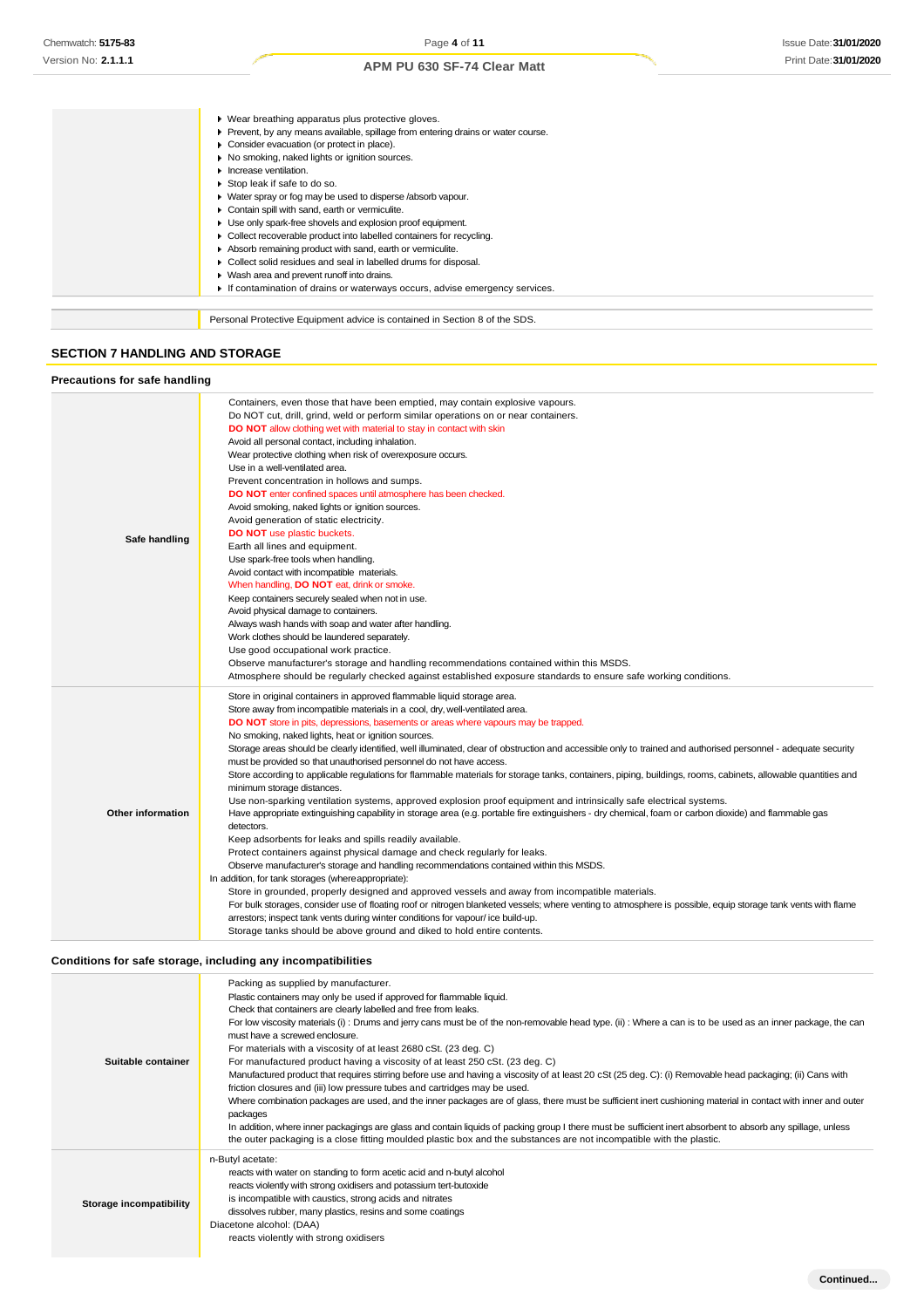Personal Protective Equipment advice is contained in Section 8 of the SDS. Wear breathing apparatus plus protective gloves. Prevent, by any means available, spillage from entering drains or water course. **Consider evacuation (or protect in place).**  $\triangleright$  No smoking, naked lights or ignition sources. **Increase ventilation.** Stop leak if safe to do so. Water spray or fog may be used to disperse /absorb vapour. Contain spill with sand, earth or vermiculite. Use only spark-free shovels and explosion proof equipment. Collect recoverable product into labelled containers for recycling. Absorb remaining product with sand, earth or vermiculite. ▶ Collect solid residues and seal in labelled drums for disposal. Wash area and prevent runoff into drains. If contamination of drains or waterways occurs, advise emergency services.

### **SECTION 7 HANDLING AND STORAGE**

#### **Precautions for safe handling Safe handling** Containers, even those that have been emptied, may contain explosive vapours. Do NOT cut, drill, grind, weld or perform similar operations on or near containers. **DO NOT** allow clothing wet with material to stay in contact with skin Avoid all personal contact, including inhalation. Wear protective clothing when risk of overexposure occurs. Use in a well-ventilated area. Prevent concentration in hollows and sumps. **DO NOT** enter confined spaces until atmosphere has been checked. Avoid smoking, naked lights or ignition sources. Avoid generation of static electricity. **DO NOT** use plastic buckets Earth all lines and equipment. Use spark-free tools when handling. Avoid contact with incompatible materials. When handling, **DO NOT** eat, drink or smoke Keep containers securely sealed when not in use. Avoid physical damage to containers. Always wash hands with soap and water after handling. Work clothes should be laundered separately. Use good occupational work practice. Observe manufacturer's storage and handling recommendations contained within this MSDS. Atmosphere should be regularly checked against established exposure standards to ensure safe working conditions. **Other information** Store in original containers in approved flammable liquid storage area. Store away from incompatible materials in a cool, dry, well-ventilated area. **DO NOT** store in pits, depressions, basements or areas where vapours may be trapped. No smoking, naked lights, heat or ignition sources. Storage areas should be clearly identified, well illuminated, clear of obstruction and accessible only to trained and authorised personnel - adequate security must be provided so that unauthorised personnel do not have access. Store according to applicable regulations for flammable materials for storage tanks, containers, piping, buildings, rooms, cabinets, allowable quantities and minimum storage distances. Use non-sparking ventilation systems, approved explosion proof equipment and intrinsically safe electrical systems. Have appropriate extinguishing capability in storage area (e.g. portable fire extinguishers - dry chemical, foam or carbon dioxide) and flammable gas detectors. Keep adsorbents for leaks and spills readily available. Protect containers against physical damage and check regularly for leaks. Observe manufacturer's storage and handling recommendations contained within this MSDS. In addition, for tank storages (whereappropriate): Store in grounded, properly designed and approved vessels and away from incompatible materials. For bulk storages, consider use of floating roof or nitrogen blanketed vessels; where venting to atmosphere is possible, equip storage tank vents with flame arrestors; inspect tank vents during winter conditions for vapour/ ice build-up. Storage tanks should be above ground and diked to hold entire contents.

### **Conditions for safe storage, including any incompatibilities**

| Suitable container      | Packing as supplied by manufacturer.<br>Plastic containers may only be used if approved for flammable liquid.<br>Check that containers are clearly labelled and free from leaks.<br>For low viscosity materials (i): Drums and jerry cans must be of the non-removable head type. (ii): Where a can is to be used as an inner package, the can<br>must have a screwed enclosure.<br>For materials with a viscosity of at least 2680 cSt. (23 deg. C)<br>For manufactured product having a viscosity of at least 250 cSt. (23 deg. C)<br>Manufactured product that requires stirring before use and having a viscosity of at least 20 cSt (25 deg. C): (i) Removable head packaging; (ii) Cans with<br>friction closures and (iii) low pressure tubes and cartridges may be used.<br>Where combination packages are used, and the inner packages are of glass, there must be sufficient inert cushioning material in contact with inner and outer<br>packages<br>In addition, where inner packagings are glass and contain liquids of packing group I there must be sufficient inert absorbent to absorb any spillage, unless<br>the outer packaging is a close fitting moulded plastic box and the substances are not incompatible with the plastic. |
|-------------------------|------------------------------------------------------------------------------------------------------------------------------------------------------------------------------------------------------------------------------------------------------------------------------------------------------------------------------------------------------------------------------------------------------------------------------------------------------------------------------------------------------------------------------------------------------------------------------------------------------------------------------------------------------------------------------------------------------------------------------------------------------------------------------------------------------------------------------------------------------------------------------------------------------------------------------------------------------------------------------------------------------------------------------------------------------------------------------------------------------------------------------------------------------------------------------------------------------------------------------------------------------|
| Storage incompatibility | n-Butyl acetate:<br>reacts with water on standing to form acetic acid and n-butyl alcohol<br>reacts violently with strong oxidisers and potassium tert-butoxide<br>is incompatible with caustics, strong acids and nitrates<br>dissolves rubber, many plastics, resins and some coatings<br>Diacetone alcohol: (DAA)<br>reacts violently with strong oxidisers                                                                                                                                                                                                                                                                                                                                                                                                                                                                                                                                                                                                                                                                                                                                                                                                                                                                                       |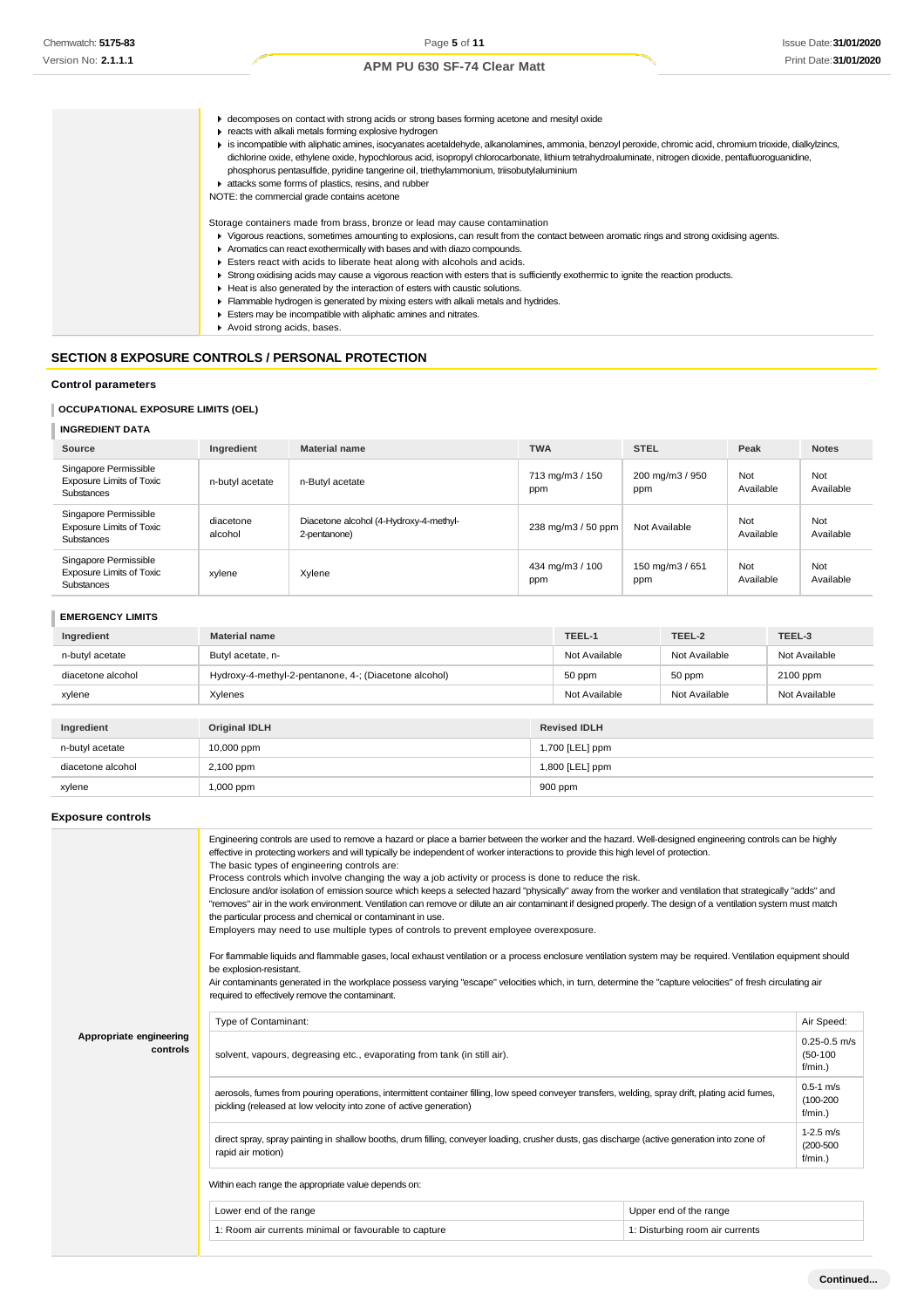|  | ► decomposes on contact with strong acids or strong bases forming acetone and mesityl oxide<br>reacts with alkali metals forming explosive hydrogen<br>is incompatible with aliphatic amines, isocyanates acetaldehyde, alkanolamines, ammonia, benzoyl peroxide, chromic acid, chromium trioxide, dialkylzincs,<br>dichlorine oxide, ethylene oxide, hypochlorous acid, isopropyl chlorocarbonate, lithium tetrahydroaluminate, nitrogen dioxide, pentafluoroguanidine,<br>phosphorus pentasulfide, pyridine tangerine oil, triethylammonium, triisobutylaluminium<br>attacks some forms of plastics, resins, and rubber<br>NOTE: the commercial grade contains acetone                  |
|--|-------------------------------------------------------------------------------------------------------------------------------------------------------------------------------------------------------------------------------------------------------------------------------------------------------------------------------------------------------------------------------------------------------------------------------------------------------------------------------------------------------------------------------------------------------------------------------------------------------------------------------------------------------------------------------------------|
|  | Storage containers made from brass, bronze or lead may cause contamination<br>▶ Vigorous reactions, sometimes amounting to explosions, can result from the contact between aromatic rings and strong oxidising agents.<br>Aromatics can react exothermically with bases and with diazo compounds.<br>Esters react with acids to liberate heat along with alcohols and acids.<br>▶ Strong oxidising acids may cause a vigorous reaction with esters that is sufficiently exothermic to ignite the reaction products.<br>► Heat is also generated by the interaction of esters with caustic solutions.<br>Flammable hydrogen is generated by mixing esters with alkali metals and hydrides. |
|  | Esters may be incompatible with aliphatic amines and nitrates.<br>Avoid strong acids, bases.                                                                                                                                                                                                                                                                                                                                                                                                                                                                                                                                                                                              |

## **SECTION 8 EXPOSURE CONTROLS / PERSONAL PROTECTION**

**Control parameters**

**OCCUPATIONAL EXPOSURE LIMITS (OEL)**

## **INGREDIENT DATA**

| Source                                                                        | Ingredient           | <b>Material name</b>                                   | <b>TWA</b>             | <b>STEL</b>            | Peak             | <b>Notes</b>     |
|-------------------------------------------------------------------------------|----------------------|--------------------------------------------------------|------------------------|------------------------|------------------|------------------|
| Singapore Permissible<br><b>Exposure Limits of Toxic</b><br><b>Substances</b> | n-butyl acetate      | n-Butyl acetate                                        | 713 mg/m3 / 150<br>ppm | 200 mg/m3 / 950<br>ppm | Not<br>Available | Not<br>Available |
| Singapore Permissible<br><b>Exposure Limits of Toxic</b><br><b>Substances</b> | diacetone<br>alcohol | Diacetone alcohol (4-Hydroxy-4-methyl-<br>2-pentanone) | 238 mg/m3 / 50 ppm     | Not Available          | Not<br>Available | Not<br>Available |
| Singapore Permissible<br><b>Exposure Limits of Toxic</b><br>Substances        | xylene               | Xylene                                                 | 434 mg/m3 / 100<br>ppm | 150 mg/m3 / 651<br>ppm | Not<br>Available | Not<br>Available |

| <b>EMERGENCY LIMITS</b> |
|-------------------------|
|-------------------------|

| Ingredient        | <b>Material name</b>                                  |                 | TEEL-1        | TEEL-2        | TEEL-3        |
|-------------------|-------------------------------------------------------|-----------------|---------------|---------------|---------------|
| n-butyl acetate   | Butyl acetate, n-                                     |                 | Not Available | Not Available | Not Available |
| diacetone alcohol | Hydroxy-4-methyl-2-pentanone, 4-; (Diacetone alcohol) |                 | 50 ppm        | 50 ppm        | 2100 ppm      |
| xylene            | Xylenes                                               |                 | Not Available | Not Available | Not Available |
|                   |                                                       |                 |               |               |               |
| Ingredient        | <b>Original IDLH</b><br><b>Revised IDLH</b>           |                 |               |               |               |
| n-butyl acetate   | 10,000 ppm                                            | 1,700 [LEL] ppm |               |               |               |
| diacetone alcohol | 2,100 ppm                                             | 1,800 [LEL] ppm |               |               |               |
| xylene            | 1,000 ppm                                             | 900 ppm         |               |               |               |

## **Exposure controls**

|                                     | Engineering controls are used to remove a hazard or place a barrier between the worker and the hazard. Well-designed engineering controls can be highly<br>effective in protecting workers and will typically be independent of worker interactions to provide this high level of protection.<br>The basic types of engineering controls are:<br>Process controls which involve changing the way a job activity or process is done to reduce the risk.<br>Enclosure and/or isolation of emission source which keeps a selected hazard "physically" away from the worker and ventilation that strategically "adds" and<br>"removes" air in the work environment. Ventilation can remove or dilute an air contaminant if designed properly. The design of a ventilation system must match<br>the particular process and chemical or contaminant in use.<br>Employers may need to use multiple types of controls to prevent employee overexposure.<br>For flammable liquids and flammable gases, local exhaust ventilation or a process enclosure ventilation system may be required. Ventilation equipment should<br>be explosion-resistant.<br>Air contaminants generated in the workplace possess varying "escape" velocities which, in turn, determine the "capture velocities" of fresh circulating air<br>required to effectively remove the contaminant. |                                 |            |  |  |  |
|-------------------------------------|--------------------------------------------------------------------------------------------------------------------------------------------------------------------------------------------------------------------------------------------------------------------------------------------------------------------------------------------------------------------------------------------------------------------------------------------------------------------------------------------------------------------------------------------------------------------------------------------------------------------------------------------------------------------------------------------------------------------------------------------------------------------------------------------------------------------------------------------------------------------------------------------------------------------------------------------------------------------------------------------------------------------------------------------------------------------------------------------------------------------------------------------------------------------------------------------------------------------------------------------------------------------------------------------------------------------------------------------------------------|---------------------------------|------------|--|--|--|
|                                     | Type of Contaminant:                                                                                                                                                                                                                                                                                                                                                                                                                                                                                                                                                                                                                                                                                                                                                                                                                                                                                                                                                                                                                                                                                                                                                                                                                                                                                                                                         |                                 | Air Speed: |  |  |  |
| Appropriate engineering<br>controls | solvent, vapours, degreasing etc., evaporating from tank (in still air).                                                                                                                                                                                                                                                                                                                                                                                                                                                                                                                                                                                                                                                                                                                                                                                                                                                                                                                                                                                                                                                                                                                                                                                                                                                                                     |                                 |            |  |  |  |
|                                     | aerosols, fumes from pouring operations, intermittent container filling, low speed conveyer transfers, welding, spray drift, plating acid fumes,<br>pickling (released at low velocity into zone of active generation)                                                                                                                                                                                                                                                                                                                                                                                                                                                                                                                                                                                                                                                                                                                                                                                                                                                                                                                                                                                                                                                                                                                                       |                                 |            |  |  |  |
|                                     | direct spray, spray painting in shallow booths, drum filling, conveyer loading, crusher dusts, gas discharge (active generation into zone of<br>rapid air motion)                                                                                                                                                                                                                                                                                                                                                                                                                                                                                                                                                                                                                                                                                                                                                                                                                                                                                                                                                                                                                                                                                                                                                                                            |                                 |            |  |  |  |
|                                     | Within each range the appropriate value depends on:                                                                                                                                                                                                                                                                                                                                                                                                                                                                                                                                                                                                                                                                                                                                                                                                                                                                                                                                                                                                                                                                                                                                                                                                                                                                                                          |                                 |            |  |  |  |
|                                     | Lower end of the range                                                                                                                                                                                                                                                                                                                                                                                                                                                                                                                                                                                                                                                                                                                                                                                                                                                                                                                                                                                                                                                                                                                                                                                                                                                                                                                                       | Upper end of the range          |            |  |  |  |
|                                     | 1: Room air currents minimal or favourable to capture                                                                                                                                                                                                                                                                                                                                                                                                                                                                                                                                                                                                                                                                                                                                                                                                                                                                                                                                                                                                                                                                                                                                                                                                                                                                                                        | 1: Disturbing room air currents |            |  |  |  |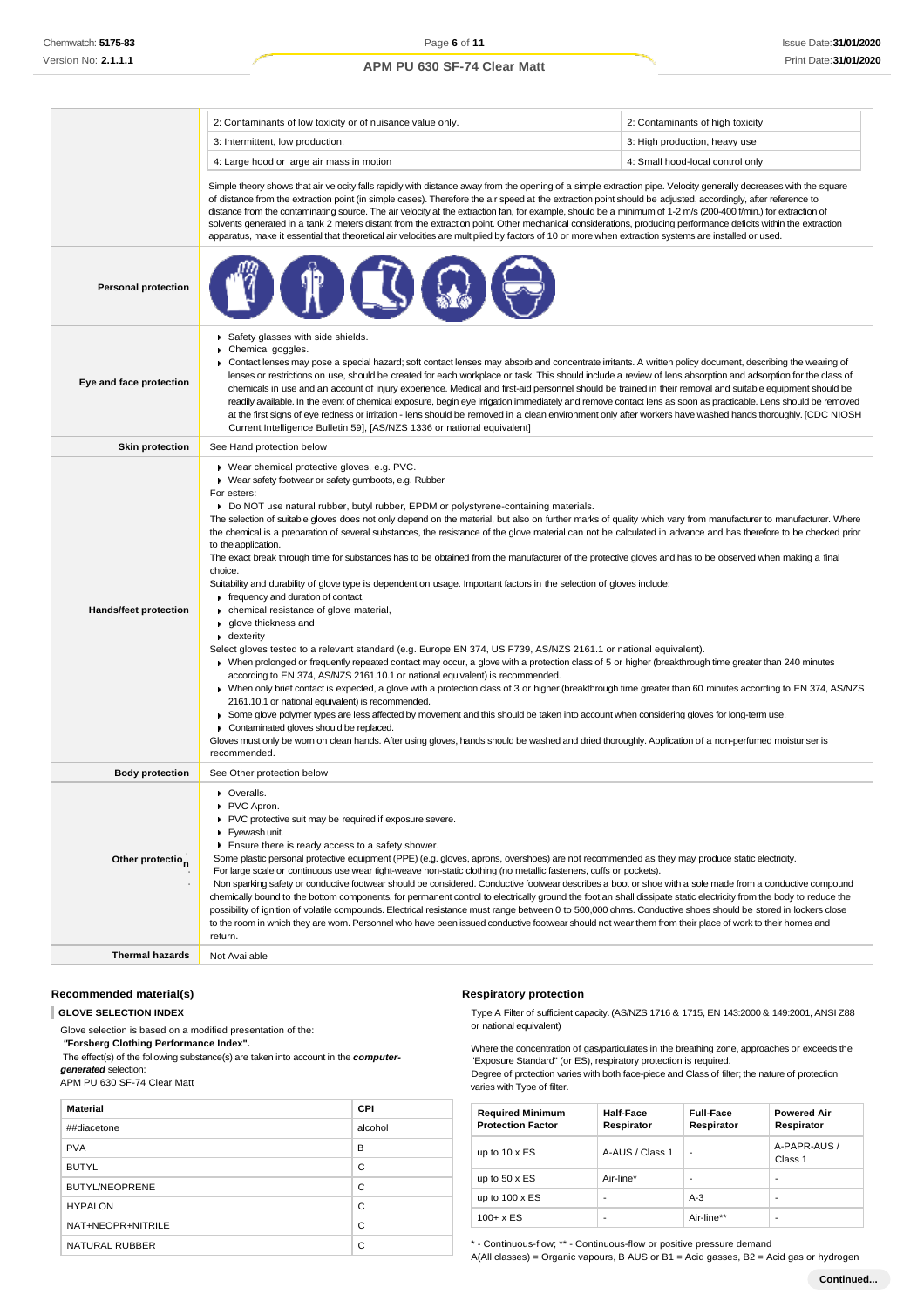|                              | 2: Contaminants of low toxicity or of nuisance value only.                                                                                                                                                                                                                                                                                                                                                                                                                                                                                                                                                                                                                                                                                                                                                                                                                                                                                                                                                                                                                                                                                                                                                                                                                                                                                                                                                                                                                                                                                                                                                                                                                                                                                                                                                                                                                                                                            | 2: Contaminants of high toxicity |  |  |
|------------------------------|---------------------------------------------------------------------------------------------------------------------------------------------------------------------------------------------------------------------------------------------------------------------------------------------------------------------------------------------------------------------------------------------------------------------------------------------------------------------------------------------------------------------------------------------------------------------------------------------------------------------------------------------------------------------------------------------------------------------------------------------------------------------------------------------------------------------------------------------------------------------------------------------------------------------------------------------------------------------------------------------------------------------------------------------------------------------------------------------------------------------------------------------------------------------------------------------------------------------------------------------------------------------------------------------------------------------------------------------------------------------------------------------------------------------------------------------------------------------------------------------------------------------------------------------------------------------------------------------------------------------------------------------------------------------------------------------------------------------------------------------------------------------------------------------------------------------------------------------------------------------------------------------------------------------------------------|----------------------------------|--|--|
|                              | 3: Intermittent, low production.<br>3: High production, heavy use                                                                                                                                                                                                                                                                                                                                                                                                                                                                                                                                                                                                                                                                                                                                                                                                                                                                                                                                                                                                                                                                                                                                                                                                                                                                                                                                                                                                                                                                                                                                                                                                                                                                                                                                                                                                                                                                     |                                  |  |  |
|                              | 4: Small hood-local control only<br>4: Large hood or large air mass in motion                                                                                                                                                                                                                                                                                                                                                                                                                                                                                                                                                                                                                                                                                                                                                                                                                                                                                                                                                                                                                                                                                                                                                                                                                                                                                                                                                                                                                                                                                                                                                                                                                                                                                                                                                                                                                                                         |                                  |  |  |
|                              | Simple theory shows that air velocity falls rapidly with distance away from the opening of a simple extraction pipe. Velocity generally decreases with the square<br>of distance from the extraction point (in simple cases). Therefore the air speed at the extraction point should be adjusted, accordingly, after reference to<br>distance from the contaminating source. The air velocity at the extraction fan, for example, should be a minimum of 1-2 m/s (200-400 f/min.) for extraction of<br>solvents generated in a tank 2 meters distant from the extraction point. Other mechanical considerations, producing performance deficits within the extraction<br>apparatus, make it essential that theoretical air velocities are multiplied by factors of 10 or more when extraction systems are installed or used.                                                                                                                                                                                                                                                                                                                                                                                                                                                                                                                                                                                                                                                                                                                                                                                                                                                                                                                                                                                                                                                                                                          |                                  |  |  |
| <b>Personal protection</b>   |                                                                                                                                                                                                                                                                                                                                                                                                                                                                                                                                                                                                                                                                                                                                                                                                                                                                                                                                                                                                                                                                                                                                                                                                                                                                                                                                                                                                                                                                                                                                                                                                                                                                                                                                                                                                                                                                                                                                       |                                  |  |  |
| Eye and face protection      | Safety glasses with side shields.<br>Chemical goggles.<br>► Contact lenses may pose a special hazard; soft contact lenses may absorb and concentrate irritants. A written policy document, describing the wearing of<br>lenses or restrictions on use, should be created for each workplace or task. This should include a review of lens absorption and adsorption for the class of<br>chemicals in use and an account of injury experience. Medical and first-aid personnel should be trained in their removal and suitable equipment should be<br>readily available. In the event of chemical exposure, begin eye irrigation immediately and remove contact lens as soon as practicable. Lens should be removed<br>at the first signs of eye redness or irritation - lens should be removed in a clean environment only after workers have washed hands thoroughly. [CDC NIOSH<br>Current Intelligence Bulletin 59], [AS/NZS 1336 or national equivalent]                                                                                                                                                                                                                                                                                                                                                                                                                                                                                                                                                                                                                                                                                                                                                                                                                                                                                                                                                                          |                                  |  |  |
| <b>Skin protection</b>       | See Hand protection below                                                                                                                                                                                                                                                                                                                                                                                                                                                                                                                                                                                                                                                                                                                                                                                                                                                                                                                                                                                                                                                                                                                                                                                                                                                                                                                                                                                                                                                                                                                                                                                                                                                                                                                                                                                                                                                                                                             |                                  |  |  |
| Hands/feet protection        | ▶ Wear chemical protective gloves, e.g. PVC.<br>▶ Wear safety footwear or safety gumboots, e.g. Rubber<br>For esters:<br>Do NOT use natural rubber, butyl rubber, EPDM or polystyrene-containing materials.<br>The selection of suitable gloves does not only depend on the material, but also on further marks of quality which vary from manufacturer to manufacturer. Where<br>the chemical is a preparation of several substances, the resistance of the glove material can not be calculated in advance and has therefore to be checked prior<br>to the application.<br>The exact break through time for substances has to be obtained from the manufacturer of the protective gloves and.has to be observed when making a final<br>choice.<br>Suitability and durability of glove type is dependent on usage. Important factors in the selection of gloves include:<br>frequency and duration of contact,<br>• chemical resistance of glove material,<br>glove thickness and<br>• dexterity<br>Select gloves tested to a relevant standard (e.g. Europe EN 374, US F739, AS/NZS 2161.1 or national equivalent).<br>▶ When prolonged or frequently repeated contact may occur, a glove with a protection class of 5 or higher (breakthrough time greater than 240 minutes<br>according to EN 374, AS/NZS 2161.10.1 or national equivalent) is recommended.<br>▶ When only brief contact is expected, a glove with a protection class of 3 or higher (breakthrough time greater than 60 minutes according to EN 374, AS/NZS<br>2161.10.1 or national equivalent) is recommended.<br>▶ Some glove polymer types are less affected by movement and this should be taken into account when considering gloves for long-term use.<br>Contaminated gloves should be replaced.<br>Gloves must only be wom on clean hands. After using gloves, hands should be washed and dried thoroughly. Application of a non-perfumed moisturiser is |                                  |  |  |
| <b>Body protection</b>       | See Other protection below                                                                                                                                                                                                                                                                                                                                                                                                                                                                                                                                                                                                                                                                                                                                                                                                                                                                                                                                                                                                                                                                                                                                                                                                                                                                                                                                                                                                                                                                                                                                                                                                                                                                                                                                                                                                                                                                                                            |                                  |  |  |
| Other protectio <sub>n</sub> | ▶ Overalls.<br>PVC Apron.<br>PVC protective suit may be required if exposure severe.<br>Eyewash unit.<br>Ensure there is ready access to a safety shower.<br>Some plastic personal protective equipment (PPE) (e.g. gloves, aprons, overshoes) are not recommended as they may produce static electricity.<br>For large scale or continuous use wear tight-weave non-static clothing (no metallic fasteners, cuffs or pockets).<br>Non sparking safety or conductive footwear should be considered. Conductive footwear describes a boot or shoe with a sole made from a conductive compound<br>chemically bound to the bottom components, for permanent control to electrically ground the foot an shall dissipate static electricity from the body to reduce the<br>possibility of ignition of volatile compounds. Electrical resistance must range between 0 to 500,000 ohms. Conductive shoes should be stored in lockers close<br>to the room in which they are worn. Personnel who have been issued conductive footwear should not wear them from their place of work to their homes and<br>return.                                                                                                                                                                                                                                                                                                                                                                                                                                                                                                                                                                                                                                                                                                                                                                                                                             |                                  |  |  |
| <b>Thermal hazards</b>       | Not Available                                                                                                                                                                                                                                                                                                                                                                                                                                                                                                                                                                                                                                                                                                                                                                                                                                                                                                                                                                                                                                                                                                                                                                                                                                                                                                                                                                                                                                                                                                                                                                                                                                                                                                                                                                                                                                                                                                                         |                                  |  |  |
|                              |                                                                                                                                                                                                                                                                                                                                                                                                                                                                                                                                                                                                                                                                                                                                                                                                                                                                                                                                                                                                                                                                                                                                                                                                                                                                                                                                                                                                                                                                                                                                                                                                                                                                                                                                                                                                                                                                                                                                       |                                  |  |  |

## **Recommended material(s)**

## **GLOVE SELECTION INDEX**

Glove selection is based on a modified presentation of the:

*"***Forsberg Clothing Performance Index".**

The effect(s) of the following substance(s) are taken into account in the *computergenerated* selection:

APM PU 630 SF-74 Clear Matt

| <b>Material</b>       | <b>CPI</b> |
|-----------------------|------------|
| ##diacetone           | alcohol    |
| <b>PVA</b>            | B          |
| <b>BUTYL</b>          | C          |
| <b>BUTYL/NEOPRENE</b> | C          |
| <b>HYPALON</b>        | C          |
| NAT+NEOPR+NITRILE     | C          |
| NATURAL RUBBER        | C          |

## **Respiratory protection**

Type A Filter of sufficient capacity. (AS/NZS 1716 & 1715, EN 143:2000 & 149:2001, ANSI Z88 or national equivalent)

Where the concentration of gas/particulates in the breathing zone, approaches or exceeds the "Exposure Standard" (or ES), respiratory protection is required.

Degree of protection varies with both face-piece and Class of filter; the nature of protection varies with Type of filter.

| <b>Required Minimum</b><br><b>Protection Factor</b> | <b>Half-Face</b><br>Respirator | <b>Full-Face</b><br>Respirator | <b>Powered Air</b><br>Respirator |
|-----------------------------------------------------|--------------------------------|--------------------------------|----------------------------------|
| up to $10 \times ES$                                | A-AUS / Class 1                | -                              | A-PAPR-AUS /<br>Class 1          |
| up to $50 \times ES$                                | Air-line*                      |                                | ٠                                |
| up to $100 \times ES$                               | -                              | $A-3$                          | ٠                                |
| $100 + x ES$                                        | ٠                              | Air-line**                     | ٠                                |

\* - Continuous-flow; \*\* - Continuous-flow or positive pressure demand

A(All classes) = Organic vapours, B AUS or B1 = Acid gasses, B2 = Acid gas or hydrogen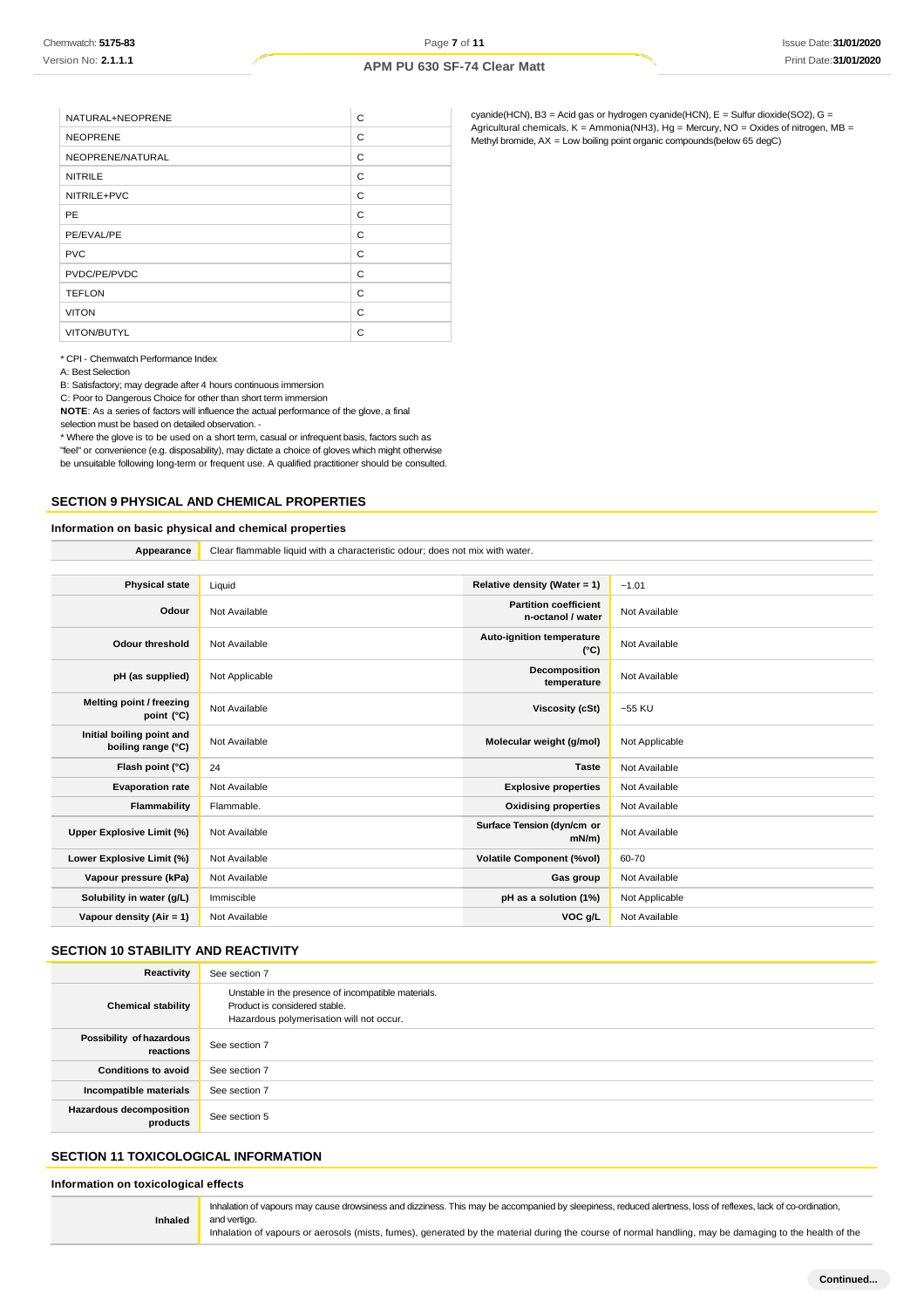| NATURAL+NEOPRENE | C |
|------------------|---|
| <b>NEOPRENE</b>  | C |
| NEOPRENE/NATURAL | C |
| <b>NITRILE</b>   | C |
| NITRILE+PVC      | C |
| <b>PE</b>        | C |
| PE/EVAL/PE       | C |
| <b>PVC</b>       | C |
| PVDC/PE/PVDC     | C |
| <b>TEFLON</b>    | C |
| <b>VITON</b>     | C |
| VITON/BUTYL      | C |

cyanide(HCN), B3 = Acid gas or hydrogen cyanide(HCN), E = Sulfur dioxide(SO2), G = Agricultural chemicals, K = Ammonia(NH3), Hg = Mercury, NO = Oxides of nitrogen, MB = Methyl bromide, AX = Low boiling point organic compounds(below 65 degC)

#### \* CPI - Chemwatch Performance Index

A: Best Selection

B: Satisfactory; may degrade after 4 hours continuous immersion

C: Poor to Dangerous Choice for other than short term immersion

**NOTE**: As a series of factors will influence the actual performance of the glove, a final selection must be based on detailed observation. -

\* Where the glove is to be used on a short term, casual or infrequent basis, factors such as "feel" or convenience (e.g. disposability), may dictate a choice of gloves which might otherwise be unsuitable following long-term or frequent use. A qualified practitioner should be consulted.

## **SECTION 9 PHYSICAL AND CHEMICAL PROPERTIES**

### **Information on basic physical and chemical properties**

**Appearance** Clear flammable liquid with a characteristic odour; does not mix with water.

| <b>Physical state</b>                           | Liquid         | Relative density (Water = 1)                      | $-1.01$        |
|-------------------------------------------------|----------------|---------------------------------------------------|----------------|
| Odour                                           | Not Available  | <b>Partition coefficient</b><br>n-octanol / water | Not Available  |
| <b>Odour threshold</b>                          | Not Available  | Auto-ignition temperature<br>$(^{\circ}C)$        | Not Available  |
| pH (as supplied)                                | Not Applicable | Decomposition<br>temperature                      | Not Available  |
| Melting point / freezing<br>point $(^{\circ}C)$ | Not Available  | Viscosity (cSt)                                   | $-55$ KU       |
| Initial boiling point and<br>boiling range (°C) | Not Available  | Molecular weight (g/mol)                          | Not Applicable |
| Flash point (°C)                                | 24             | <b>Taste</b>                                      | Not Available  |
| <b>Evaporation rate</b>                         | Not Available  | <b>Explosive properties</b>                       | Not Available  |
| Flammability                                    | Flammable.     | <b>Oxidising properties</b>                       | Not Available  |
| Upper Explosive Limit (%)                       | Not Available  | Surface Tension (dyn/cm or<br>mN/m                | Not Available  |
| Lower Explosive Limit (%)                       | Not Available  | <b>Volatile Component (%vol)</b>                  | 60-70          |
| Vapour pressure (kPa)                           | Not Available  | Gas group                                         | Not Available  |
| Solubility in water (g/L)                       | Immiscible     | pH as a solution (1%)                             | Not Applicable |
| Vapour density (Air = 1)                        | Not Available  | VOC g/L                                           | Not Available  |
|                                                 |                |                                                   |                |

## **SECTION 10 STABILITY AND REACTIVITY**

| Reactivity                            | See section 7                                                                                                                    |
|---------------------------------------|----------------------------------------------------------------------------------------------------------------------------------|
| <b>Chemical stability</b>             | Unstable in the presence of incompatible materials.<br>Product is considered stable.<br>Hazardous polymerisation will not occur. |
| Possibility of hazardous<br>reactions | See section 7                                                                                                                    |
| <b>Conditions to avoid</b>            | See section 7                                                                                                                    |
| Incompatible materials                | See section 7                                                                                                                    |
| Hazardous decomposition<br>products   | See section 5                                                                                                                    |

## **SECTION 11 TOXICOLOGICAL INFORMATION**

#### **Information on toxicological effects**

**Inhaled** Inhalation of vapours may cause drowsiness and dizziness. This may be accompanied by sleepiness, reduced alertness, loss of reflexes, lack of co-ordination, and vertigo. Inhalation of vapours or aerosols (mists, fumes), generated by the material during the course of normal handling, may be damaging to the health of the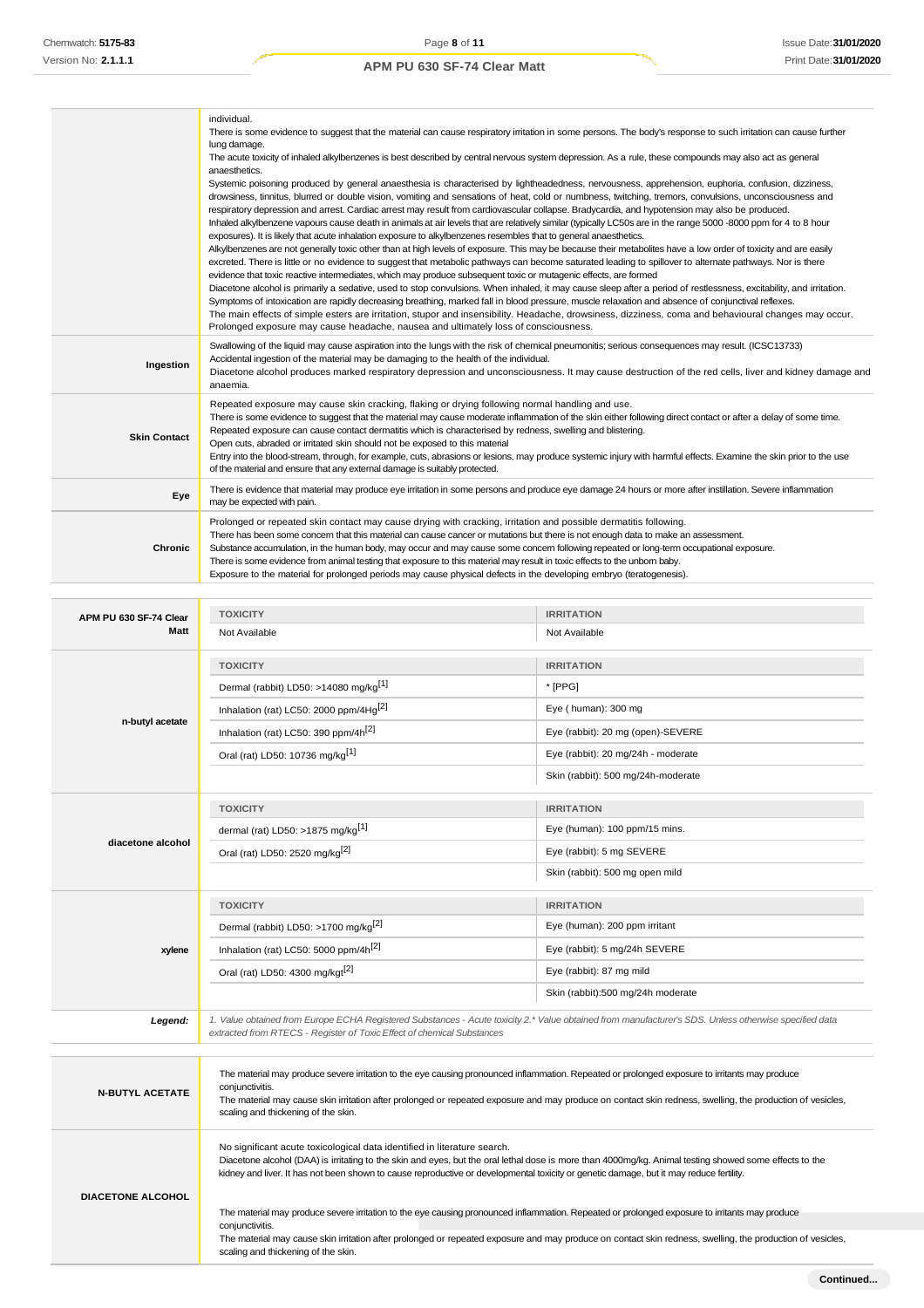|                                       | individual.<br>There is some evidence to suggest that the material can cause respiratory irritation in some persons. The body's response to such irritation can cause further<br>lung damage.<br>The acute toxicity of inhaled alkylbenzenes is best described by central nervous system depression. As a rule, these compounds may also act as general<br>anaesthetics.<br>Systemic poisoning produced by general anaesthesia is characterised by lightheadedness, nervousness, apprehension, euphoria, confusion, dizziness,<br>drowsiness, tinnitus, blurred or double vision, vomiting and sensations of heat, cold or numbness, twitching, tremors, convulsions, unconsciousness and<br>respiratory depression and arrest. Cardiac arrest may result from cardiovascular collapse. Bradycardia, and hypotension may also be produced.<br>Inhaled alkylbenzene vapours cause death in animals at air levels that are relatively similar (typically LC50s are in the range 5000 -8000 ppm for 4 to 8 hour<br>exposures). It is likely that acute inhalation exposure to alkylbenzenes resembles that to general anaesthetics.<br>Alkylbenzenes are not generally toxic other than at high levels of exposure. This may be because their metabolites have a low order of toxicity and are easily<br>excreted. There is little or no evidence to suggest that metabolic pathways can become saturated leading to spillover to alternate pathways. Nor is there<br>evidence that toxic reactive intermediates, which may produce subsequent toxic or mutagenic effects, are formed<br>Diacetone alcohol is primarily a sedative, used to stop convulsions. When inhaled, it may cause sleep after a period of restlessness, excitability, and irritation.<br>Symptoms of intoxication are rapidly decreasing breathing, marked fall in blood pressure, muscle relaxation and absence of conjunctival reflexes.<br>The main effects of simple esters are irritation, stupor and insensibility. Headache, drowsiness, dizziness, coma and behavioural changes may occur.<br>Prolonged exposure may cause headache, nausea and ultimately loss of consciousness. |                                         |
|---------------------------------------|---------------------------------------------------------------------------------------------------------------------------------------------------------------------------------------------------------------------------------------------------------------------------------------------------------------------------------------------------------------------------------------------------------------------------------------------------------------------------------------------------------------------------------------------------------------------------------------------------------------------------------------------------------------------------------------------------------------------------------------------------------------------------------------------------------------------------------------------------------------------------------------------------------------------------------------------------------------------------------------------------------------------------------------------------------------------------------------------------------------------------------------------------------------------------------------------------------------------------------------------------------------------------------------------------------------------------------------------------------------------------------------------------------------------------------------------------------------------------------------------------------------------------------------------------------------------------------------------------------------------------------------------------------------------------------------------------------------------------------------------------------------------------------------------------------------------------------------------------------------------------------------------------------------------------------------------------------------------------------------------------------------------------------------------------------------------------------------------------------------------------------------------------------------|-----------------------------------------|
| Ingestion                             | Swallowing of the liquid may cause aspiration into the lungs with the risk of chemical pneumonitis; serious consequences may result. (ICSC13733)<br>Accidental ingestion of the material may be damaging to the health of the individual.<br>Diacetone alcohol produces marked respiratory depression and unconsciousness. It may cause destruction of the red cells, liver and kidney damage and<br>anaemia.                                                                                                                                                                                                                                                                                                                                                                                                                                                                                                                                                                                                                                                                                                                                                                                                                                                                                                                                                                                                                                                                                                                                                                                                                                                                                                                                                                                                                                                                                                                                                                                                                                                                                                                                                 |                                         |
| <b>Skin Contact</b>                   | Repeated exposure may cause skin cracking, flaking or drying following normal handling and use.<br>There is some evidence to suggest that the material may cause moderate inflammation of the skin either following direct contact or after a delay of some time.<br>Repeated exposure can cause contact dermatitis which is characterised by redness, swelling and blistering.<br>Open cuts, abraded or irritated skin should not be exposed to this material<br>Entry into the blood-stream, through, for example, cuts, abrasions or lesions, may produce systemic injury with harmful effects. Examine the skin prior to the use<br>of the material and ensure that any external damage is suitably protected.                                                                                                                                                                                                                                                                                                                                                                                                                                                                                                                                                                                                                                                                                                                                                                                                                                                                                                                                                                                                                                                                                                                                                                                                                                                                                                                                                                                                                                            |                                         |
| Eye                                   | There is evidence that material may produce eye irritation in some persons and produce eye damage 24 hours or more after instillation. Severe inflammation<br>may be expected with pain.                                                                                                                                                                                                                                                                                                                                                                                                                                                                                                                                                                                                                                                                                                                                                                                                                                                                                                                                                                                                                                                                                                                                                                                                                                                                                                                                                                                                                                                                                                                                                                                                                                                                                                                                                                                                                                                                                                                                                                      |                                         |
| <b>Chronic</b>                        | Prolonged or repeated skin contact may cause drying with cracking, irritation and possible dermatitis following.<br>There has been some concem that this material can cause cancer or mutations but there is not enough data to make an assessment.<br>Substance accumulation, in the human body, may occur and may cause some concern following repeated or long-term occupational exposure.<br>There is some evidence from animal testing that exposure to this material may result in toxic effects to the unbom baby.<br>Exposure to the material for prolonged periods may cause physical defects in the developing embryo (teratogenesis).                                                                                                                                                                                                                                                                                                                                                                                                                                                                                                                                                                                                                                                                                                                                                                                                                                                                                                                                                                                                                                                                                                                                                                                                                                                                                                                                                                                                                                                                                                              |                                         |
|                                       |                                                                                                                                                                                                                                                                                                                                                                                                                                                                                                                                                                                                                                                                                                                                                                                                                                                                                                                                                                                                                                                                                                                                                                                                                                                                                                                                                                                                                                                                                                                                                                                                                                                                                                                                                                                                                                                                                                                                                                                                                                                                                                                                                               |                                         |
| APM PU 630 SF-74 Clear<br><b>Matt</b> | <b>TOXICITY</b><br>Not Available                                                                                                                                                                                                                                                                                                                                                                                                                                                                                                                                                                                                                                                                                                                                                                                                                                                                                                                                                                                                                                                                                                                                                                                                                                                                                                                                                                                                                                                                                                                                                                                                                                                                                                                                                                                                                                                                                                                                                                                                                                                                                                                              | <b>IRRITATION</b><br>Not Available      |
|                                       | <b>TOXICITY</b>                                                                                                                                                                                                                                                                                                                                                                                                                                                                                                                                                                                                                                                                                                                                                                                                                                                                                                                                                                                                                                                                                                                                                                                                                                                                                                                                                                                                                                                                                                                                                                                                                                                                                                                                                                                                                                                                                                                                                                                                                                                                                                                                               | <b>IRRITATION</b>                       |
|                                       | Dermal (rabbit) LD50: >14080 mg/kg <sup>[1]</sup>                                                                                                                                                                                                                                                                                                                                                                                                                                                                                                                                                                                                                                                                                                                                                                                                                                                                                                                                                                                                                                                                                                                                                                                                                                                                                                                                                                                                                                                                                                                                                                                                                                                                                                                                                                                                                                                                                                                                                                                                                                                                                                             | * [PPG]                                 |
|                                       | Inhalation (rat) LC50: 2000 ppm/4Hg <sup>[2]</sup>                                                                                                                                                                                                                                                                                                                                                                                                                                                                                                                                                                                                                                                                                                                                                                                                                                                                                                                                                                                                                                                                                                                                                                                                                                                                                                                                                                                                                                                                                                                                                                                                                                                                                                                                                                                                                                                                                                                                                                                                                                                                                                            | Eye ( $human$ ): 300 mg                 |
| n-butyl acetate                       | (1.1050000)                                                                                                                                                                                                                                                                                                                                                                                                                                                                                                                                                                                                                                                                                                                                                                                                                                                                                                                                                                                                                                                                                                                                                                                                                                                                                                                                                                                                                                                                                                                                                                                                                                                                                                                                                                                                                                                                                                                                                                                                                                                                                                                                                   | $E_{1/2}$ (robbit): 20 mg (open) CEVEDE |

|                        | Inhalation (rat) LC50: 390 ppm/4h <sup>[2]</sup>                                                                                                                                                                                                                                                                                                                       | Eye (rabbit): 20 mg (open)-SEVERE  |
|------------------------|------------------------------------------------------------------------------------------------------------------------------------------------------------------------------------------------------------------------------------------------------------------------------------------------------------------------------------------------------------------------|------------------------------------|
|                        | Oral (rat) LD50: 10736 mg/kg <sup>[1]</sup>                                                                                                                                                                                                                                                                                                                            | Eye (rabbit): 20 mg/24h - moderate |
|                        |                                                                                                                                                                                                                                                                                                                                                                        | Skin (rabbit): 500 mg/24h-moderate |
|                        | <b>TOXICITY</b>                                                                                                                                                                                                                                                                                                                                                        | <b>IRRITATION</b>                  |
|                        | dermal (rat) LD50: >1875 mg/kg $[1]$                                                                                                                                                                                                                                                                                                                                   | Eye (human): 100 ppm/15 mins.      |
| diacetone alcohol      | Oral (rat) LD50: 2520 mg/kg <sup>[2]</sup>                                                                                                                                                                                                                                                                                                                             | Eye (rabbit): 5 mg SEVERE          |
|                        |                                                                                                                                                                                                                                                                                                                                                                        | Skin (rabbit): 500 mg open mild    |
|                        | <b>TOXICITY</b>                                                                                                                                                                                                                                                                                                                                                        | <b>IRRITATION</b>                  |
|                        | Dermal (rabbit) LD50: >1700 mg/kg <sup>[2]</sup>                                                                                                                                                                                                                                                                                                                       | Eye (human): 200 ppm irritant      |
| xylene                 | Inhalation (rat) LC50: 5000 ppm/4h <sup>[2]</sup>                                                                                                                                                                                                                                                                                                                      | Eye (rabbit): 5 mg/24h SEVERE      |
|                        | Oral (rat) LD50: 4300 mg/kgt <sup>[2]</sup>                                                                                                                                                                                                                                                                                                                            | Eye (rabbit): 87 mg mild           |
|                        |                                                                                                                                                                                                                                                                                                                                                                        | Skin (rabbit):500 mg/24h moderate  |
| Legend:                | 1. Value obtained from Europe ECHA Registered Substances - Acute toxicity 2.* Value obtained from manufacturer's SDS. Unless otherwise specified data<br>extracted from RTECS - Register of Toxic Effect of chemical Substances                                                                                                                                        |                                    |
|                        |                                                                                                                                                                                                                                                                                                                                                                        |                                    |
| <b>N-BUTYL ACETATE</b> | The material may produce severe irritation to the eye causing pronounced inflammation. Repeated or prolonged exposure to irritants may produce<br>conjunctivitis.<br>The material may cause skin irritation after prolonged or repeated exposure and may produce on contact skin redness, swelling, the production of vesicles,<br>scaling and thickening of the skin. |                                    |
|                        | No significant acute toxicological data identified in literature search.                                                                                                                                                                                                                                                                                               |                                    |

Diacetone alcohol (DAA) is irritating to the skin and eyes, but the oral lethal dose is more than 4000mg/kg. Animal testing showed some effects to the kidney and liver. It has not been shown to cause reproductive or developmental toxicity or genetic damage, but it may reduce fertility.

**DIACETONE ALCOHOL** The material may produce severe irritation to the eye causing pronounced inflammation. Repeated or prolonged exposure to irritants may produce

scaling and thickening of the skin.

conjunctivitis. The material may cause skin irritation after prolonged or repeated exposure and may produce on contact skin redness, swelling, the production of vesicles,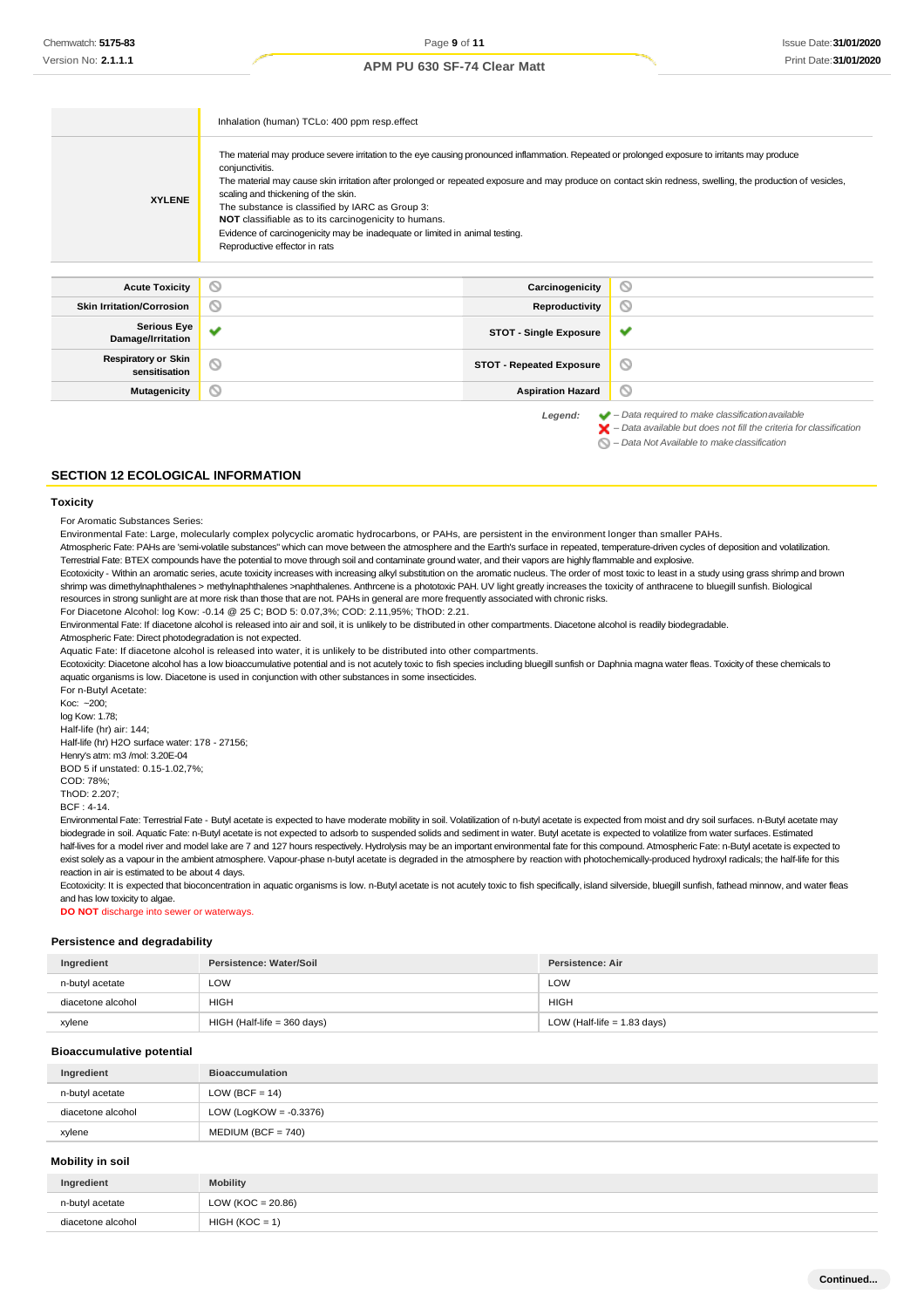|                                             | Inhalation (human) TCLo: 400 ppm resp.effect                                                                                                                                                                                                                                                                                                                                                                                                                                                                                                                                                       |                                 |                                                                                                                                                                    |
|---------------------------------------------|----------------------------------------------------------------------------------------------------------------------------------------------------------------------------------------------------------------------------------------------------------------------------------------------------------------------------------------------------------------------------------------------------------------------------------------------------------------------------------------------------------------------------------------------------------------------------------------------------|---------------------------------|--------------------------------------------------------------------------------------------------------------------------------------------------------------------|
| <b>XYLENE</b>                               | The material may produce severe irritation to the eye causing pronounced inflammation. Repeated or prolonged exposure to irritants may produce<br>conjunctivitis.<br>The material may cause skin irritation after prolonged or repeated exposure and may produce on contact skin redness, swelling, the production of vesicles,<br>scaling and thickening of the skin.<br>The substance is classified by IARC as Group 3:<br>NOT classifiable as to its carcinogenicity to humans.<br>Evidence of carcinogenicity may be inadequate or limited in animal testing.<br>Reproductive effector in rats |                                 |                                                                                                                                                                    |
| <b>Acute Toxicity</b>                       | Ø                                                                                                                                                                                                                                                                                                                                                                                                                                                                                                                                                                                                  | Carcinogenicity                 | O                                                                                                                                                                  |
| <b>Skin Irritation/Corrosion</b>            | ⊚                                                                                                                                                                                                                                                                                                                                                                                                                                                                                                                                                                                                  | Reproductivity                  | O                                                                                                                                                                  |
| <b>Serious Eye</b><br>Damage/Irritation     | u                                                                                                                                                                                                                                                                                                                                                                                                                                                                                                                                                                                                  | <b>STOT - Single Exposure</b>   | ✔                                                                                                                                                                  |
| <b>Respiratory or Skin</b><br>sensitisation | $\circ$                                                                                                                                                                                                                                                                                                                                                                                                                                                                                                                                                                                            | <b>STOT - Repeated Exposure</b> | O                                                                                                                                                                  |
| <b>Mutagenicity</b>                         | ◎                                                                                                                                                                                                                                                                                                                                                                                                                                                                                                                                                                                                  | <b>Aspiration Hazard</b>        | ◎                                                                                                                                                                  |
|                                             |                                                                                                                                                                                                                                                                                                                                                                                                                                                                                                                                                                                                    | Legend:                         | $\blacktriangleright$ - Data required to make classification available<br>$\blacktriangleright$ - Data available but does not fill the criteria for classification |

*– Data Not Available to makeclassification*

### **SECTION 12 ECOLOGICAL INFORMATION**

### **Toxicity**

For Aromatic Substances Series:

Environmental Fate: Large, molecularly complex polycyclic aromatic hydrocarbons, or PAHs, are persistent in the environment longer than smaller PAHs.

Atmospheric Fate: PAHs are 'semi-volatile substances" which can move between the atmosphere and the Earth's surface in repeated, temperature-driven cycles of deposition and volatilization. Terrestrial Fate: BTEX compounds have the potential to move through soil and contaminate ground water, and their vapors are highly flammable and explosive.

Ecotoxicity - Within an aromatic series, acute toxicity increases with increasing alkyl substitution on the aromatic nucleus. The order of most toxic to least in a study using grass shrimp and brown shrimp was dimethylnaphthalenes > methylnaphthalenes >naphthalenes. Anthrcene is a phototoxic PAH. UV light greatly increases the toxicity of anthracene to bluegill sunfish. Biological resources in strong sunlight are at more risk than those that are not. PAHs in general are more frequently associated with chronic risks.

For Diacetone Alcohol: log Kow: -0.14 @ 25 C; BOD 5: 0.07,3%; COD: 2.11,95%; ThOD: 2.21.

Environmental Fate: If diacetone alcohol is released into air and soil, it is unlikely to be distributed in other compartments. Diacetone alcohol is readily biodegradable.

Atmospheric Fate: Direct photodegradation is not expected.

Aquatic Fate: If diacetone alcohol is released into water, it is unlikely to be distributed into other compartments.

Ecotoxicity: Diacetone alcohol has a low bioaccumulative potential and is not acutely toxic to fish species including bluegill sunfish or Daphnia magna water fleas. Toxicity of these chemicals to aquatic organisms is low. Diacetone is used in conjunction with other substances in some insecticides.

For n-Butyl Acetate: Koc: ~200; log Kow: 1.78; Half-life (hr) air: 144; Half-life (hr) H2O surface water: 178 - 27156; Henry's atm: m3 /mol: 3.20E-04 BOD 5 if unstated: 0.15-1.02,7%; COD: 78%; ThOD: 2.207;

BCF : 4-14.

Environmental Fate: Terrestrial Fate - Butyl acetate is expected to have moderate mobility in soil. Volatilization of n-butyl acetate is expected from moist and dry soil surfaces. n-Butyl acetate may biodegrade in soil. Aquatic Fate: n-Butyl acetate is not expected to adsorb to suspended solids and sediment in water. Butyl acetate is expected to volatilize from water surfaces. Estimated half-lives for a model river and model lake are 7 and 127 hours respectively. Hydrolysis may be an important environmental fate for this compound. Atmospheric Fate: n-Butyl acetate is expected to exist solely as a vapour in the ambient atmosphere. Vapour-phase n-butyl acetate is degraded in the atmosphere by reaction with photochemically-produced hydroxyl radicals; the half-life for this reaction in air is estimated to be about 4 days.

Ecotoxicity: It is expected that bioconcentration in aquatic organisms is low. n-Butyl acetate is not acutely toxic to fish specifically, island silverside, bluegill sunfish, fathead minnow, and water fleas and has low toxicity to algae.

**DO NOT** discharge into sewer or waterways.

### **Persistence and degradability**

| Ingredient        | Persistence: Water/Soil     | Persistence: Air              |
|-------------------|-----------------------------|-------------------------------|
| n-butyl acetate   | LOW                         | LOW                           |
| diacetone alcohol | HIGH                        | <b>HIGH</b>                   |
| xylene            | HIGH (Half-life = 360 days) | LOW (Half-life $= 1.83$ days) |

#### **Bioaccumulative potential**

| Ingredient        | <b>Bioaccumulation</b>    |
|-------------------|---------------------------|
| n-butyl acetate   | LOW (BCF = $14$ )         |
| diacetone alcohol | LOW (LogKOW = $-0.3376$ ) |
| xylene            | $MEDIUM (BCF = 740)$      |

## **Mobility in soil**

| Ingredient        | <b>Mobility</b>       |
|-------------------|-----------------------|
| n-butyl acetate   | LOW ( $KOC = 20.86$ ) |
| diacetone alcohol | $HIGH (KOC = 1)$      |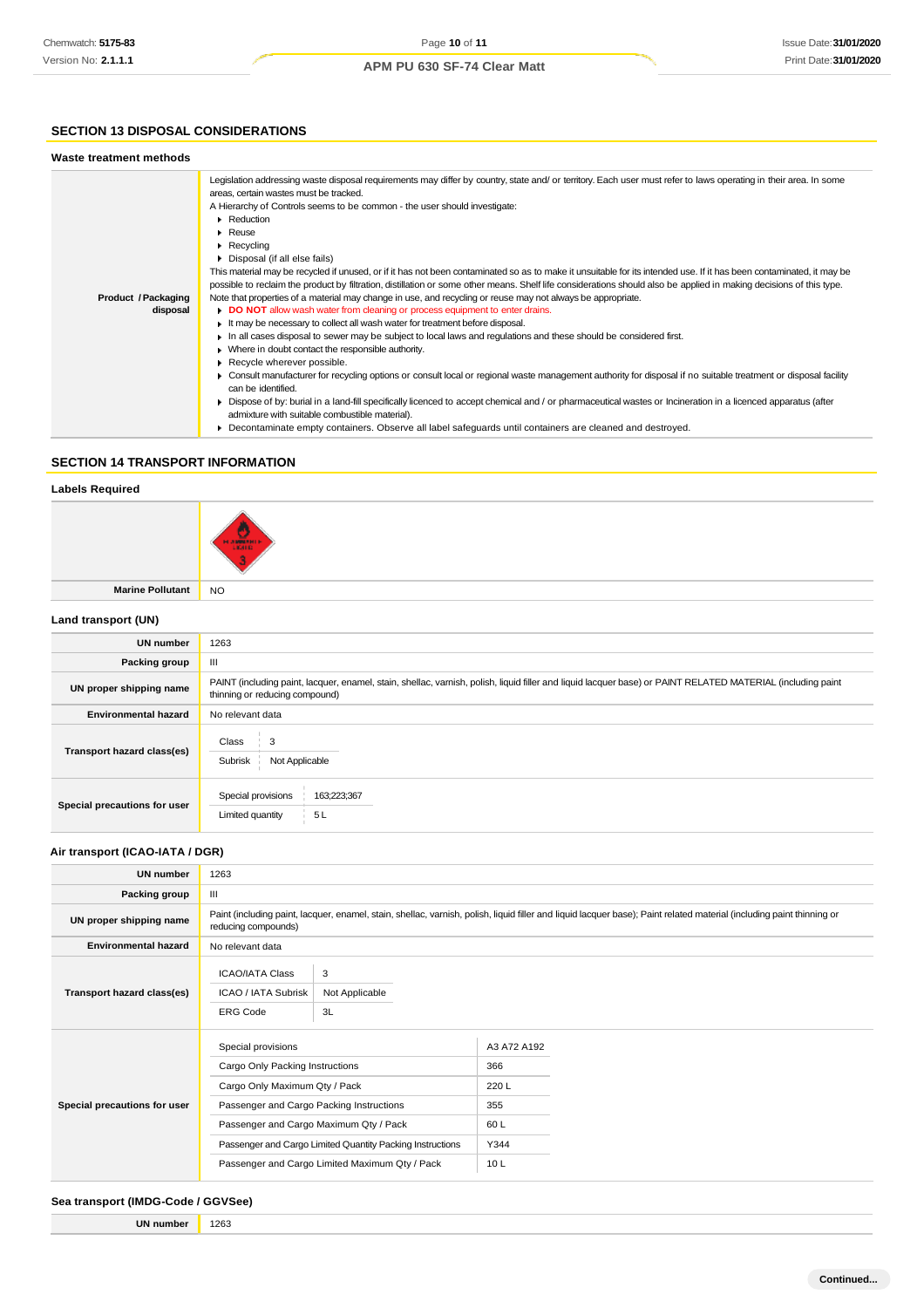## **SECTION 13 DISPOSAL CONSIDERATIONS**

| Waste treatment methods         |                                                                                                                                                                                                                                                                                                                                                                                                                                                                                                                                                                                                                                                                                                                                                                                                                                                                                                                                                                                                                                                                                                                                                                                                                                                                                                                                                                                                                                                                                                                                                                                                                                                             |
|---------------------------------|-------------------------------------------------------------------------------------------------------------------------------------------------------------------------------------------------------------------------------------------------------------------------------------------------------------------------------------------------------------------------------------------------------------------------------------------------------------------------------------------------------------------------------------------------------------------------------------------------------------------------------------------------------------------------------------------------------------------------------------------------------------------------------------------------------------------------------------------------------------------------------------------------------------------------------------------------------------------------------------------------------------------------------------------------------------------------------------------------------------------------------------------------------------------------------------------------------------------------------------------------------------------------------------------------------------------------------------------------------------------------------------------------------------------------------------------------------------------------------------------------------------------------------------------------------------------------------------------------------------------------------------------------------------|
| Product / Packaging<br>disposal | Legislation addressing waste disposal requirements may differ by country, state and/ or territory. Each user must refer to laws operating in their area. In some<br>areas, certain wastes must be tracked.<br>A Hierarchy of Controls seems to be common - the user should investigate:<br>Reduction<br>$\blacktriangleright$ Reuse<br>$\blacktriangleright$ Recycling<br>• Disposal (if all else fails)<br>This material may be recycled if unused, or if it has not been contaminated so as to make it unsuitable for its intended use. If it has been contaminated, it may be<br>possible to reclaim the product by filtration, distillation or some other means. Shelf life considerations should also be applied in making decisions of this type.<br>Note that properties of a material may change in use, and recycling or reuse may not always be appropriate.<br>DO NOT allow wash water from cleaning or process equipment to enter drains.<br>It may be necessary to collect all wash water for treatment before disposal.<br>In all cases disposal to sewer may be subject to local laws and regulations and these should be considered first.<br>• Where in doubt contact the responsible authority.<br>Recycle wherever possible.<br>► Consult manufacturer for recycling options or consult local or regional waste management authority for disposal if no suitable treatment or disposal facility<br>can be identified.<br>► Dispose of by: burial in a land-fill specifically licenced to accept chemical and / or pharmaceutical wastes or Incineration in a licenced apparatus (after<br>admixture with suitable combustible material). |
|                                 | ▶ Decontaminate empty containers. Observe all label safeguards until containers are cleaned and destroyed.                                                                                                                                                                                                                                                                                                                                                                                                                                                                                                                                                                                                                                                                                                                                                                                                                                                                                                                                                                                                                                                                                                                                                                                                                                                                                                                                                                                                                                                                                                                                                  |

## **SECTION 14 TRANSPORT INFORMATION**

## **Labels Required**



**Marine Pollutant** NO

## **Land transport (UN)**

| <b>UN number</b>             | 1263                                                                                                                                                                                          |  |
|------------------------------|-----------------------------------------------------------------------------------------------------------------------------------------------------------------------------------------------|--|
| Packing group                | Ш                                                                                                                                                                                             |  |
| UN proper shipping name      | PAINT (including paint, lacquer, enamel, stain, shellac, varnish, polish, liquid filler and liquid lacquer base) or PAINT RELATED MATERIAL (including paint<br>thinning or reducing compound) |  |
| <b>Environmental hazard</b>  | No relevant data                                                                                                                                                                              |  |
| Transport hazard class(es)   | Class<br>3<br>Subrisk<br>Not Applicable                                                                                                                                                       |  |
| Special precautions for user | 163;223;367<br>Special provisions<br>5L<br>Limited quantity                                                                                                                                   |  |

## **Air transport (ICAO-IATA / DGR)**

| <b>UN number</b>             | 1263                                                                                                                                                                                                                                                                                        |                           |                                                         |  |  |
|------------------------------|---------------------------------------------------------------------------------------------------------------------------------------------------------------------------------------------------------------------------------------------------------------------------------------------|---------------------------|---------------------------------------------------------|--|--|
| Packing group                | Ш                                                                                                                                                                                                                                                                                           |                           |                                                         |  |  |
| UN proper shipping name      | Paint (including paint, lacquer, enamel, stain, shellac, varnish, polish, liquid filler and liquid lacquer base); Paint related material (including paint thinning or<br>reducing compounds)                                                                                                |                           |                                                         |  |  |
| <b>Environmental hazard</b>  | No relevant data                                                                                                                                                                                                                                                                            |                           |                                                         |  |  |
| Transport hazard class(es)   | <b>ICAO/IATA Class</b><br>ICAO / IATA Subrisk<br><b>ERG Code</b>                                                                                                                                                                                                                            | 3<br>Not Applicable<br>3L |                                                         |  |  |
| Special precautions for user | Special provisions<br>Cargo Only Packing Instructions<br>Cargo Only Maximum Qty / Pack<br>Passenger and Cargo Packing Instructions<br>Passenger and Cargo Maximum Qty / Pack<br>Passenger and Cargo Limited Quantity Packing Instructions<br>Passenger and Cargo Limited Maximum Qty / Pack |                           | A3 A72 A192<br>366<br>220L<br>355<br>60L<br>Y344<br>10L |  |  |

## **Sea transport (IMDG-Code / GGVSee)**

**UN number** 1263